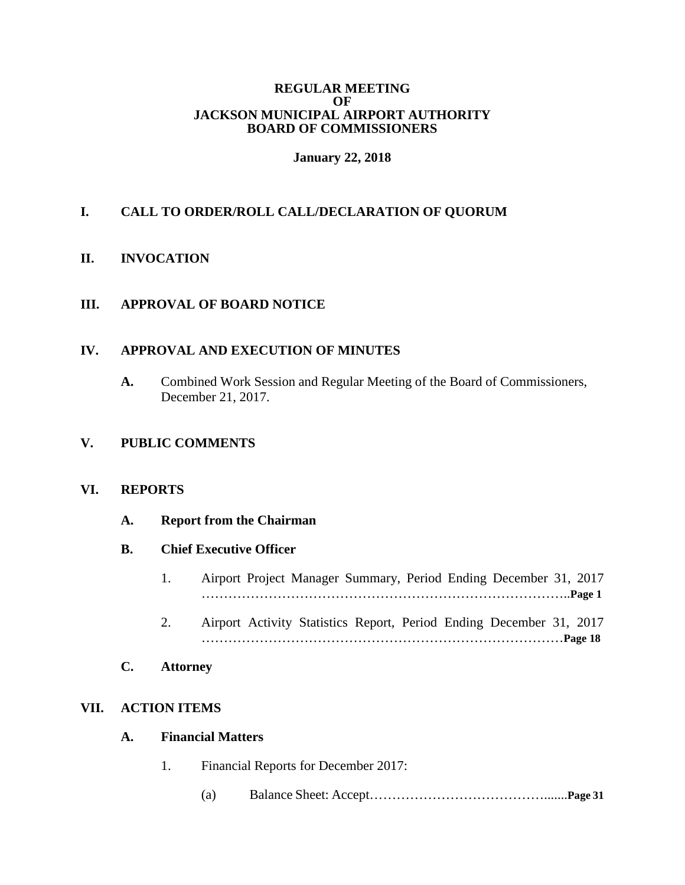#### **REGULAR MEETING OF JACKSON MUNICIPAL AIRPORT AUTHORITY BOARD OF COMMISSIONERS**

## **January 22, 2018**

# **I. CALL TO ORDER/ROLL CALL/DECLARATION OF QUORUM**

### **II. INVOCATION**

### **III. APPROVAL OF BOARD NOTICE**

#### **IV. APPROVAL AND EXECUTION OF MINUTES**

**A.** Combined Work Session and Regular Meeting of the Board of Commissioners, December 21, 2017.

## **V. PUBLIC COMMENTS**

#### **VI. REPORTS**

#### **A. Report from the Chairman**

### **B. Chief Executive Officer**

- 1. Airport Project Manager Summary, Period Ending December 31, 2017 ………………………………………………………………………..**Page 1**
- 2. Airport Activity Statistics Report, Period Ending December 31, 2017 ………………………………………………………………………**Page 18**

### **C. Attorney**

## **VII. ACTION ITEMS**

#### **A. Financial Matters**

- 1. Financial Reports for December 2017:
	- (a) Balance Sheet: Accept………………………………….......**Page 31**